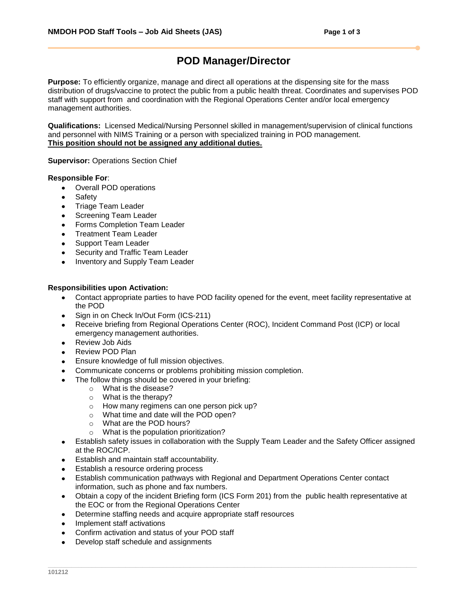# **POD Manager/Director**

**Purpose:** To efficiently organize, manage and direct all operations at the dispensing site for the mass distribution of drugs/vaccine to protect the public from a public health threat. Coordinates and supervises POD staff with support from and coordination with the Regional Operations Center and/or local emergency management authorities.

**Qualifications:** Licensed Medical/Nursing Personnel skilled in management/supervision of clinical functions and personnel with NIMS Training or a person with specialized training in POD management. **This position should not be assigned any additional duties.**

**Supervisor:** Operations Section Chief

### **Responsible For**:

- $\bullet$ Overall POD operations
- Safety
- Triage Team Leader  $\bullet$
- Screening Team Leader  $\bullet$
- $\bullet$ Forms Completion Team Leader
- Treatment Team Leader  $\bullet$
- Support Team Leader
- Security and Traffic Team Leader  $\bullet$
- Inventory and Supply Team Leader  $\bullet$

#### **Responsibilities upon Activation:**

- Contact appropriate parties to have POD facility opened for the event, meet facility representative at the POD
- Sign in on Check In/Out Form (ICS-211)
- Receive briefing from Regional Operations Center (ROC), Incident Command Post (ICP) or local  $\bullet$ emergency management authorities.
- Review Job Aids
- Review POD Plan
- Ensure knowledge of full mission objectives.
- Communicate concerns or problems prohibiting mission completion.
- The follow things should be covered in your briefing:
	- o What is the disease?
	- o What is the therapy?
	- o How many regimens can one person pick up?
	- o What time and date will the POD open?
	- o What are the POD hours?
	- o What is the population prioritization?
- Establish safety issues in collaboration with the Supply Team Leader and the Safety Officer assigned at the ROC/ICP.
- Establish and maintain staff accountability.
- Establish a resource ordering process
- Establish communication pathways with Regional and Department Operations Center contact information, such as phone and fax numbers.
- Obtain a copy of the incident Briefing form (ICS Form 201) from the public health representative at  $\bullet$ the EOC or from the Regional Operations Center
- Determine staffing needs and acquire appropriate staff resources
- Implement staff activations
- Confirm activation and status of your POD staff
- Develop staff schedule and assignments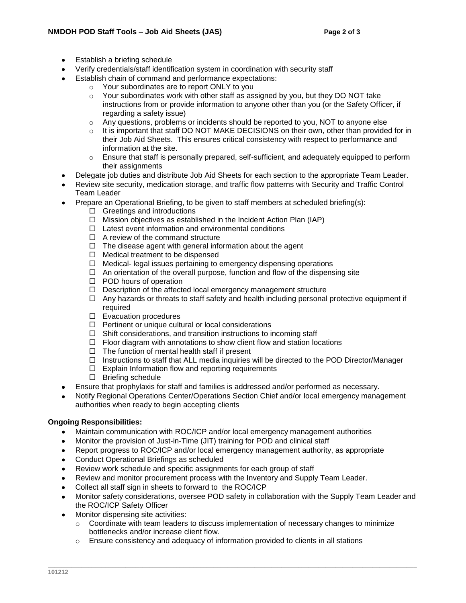- Establish a briefing schedule
- Verify credentials/staff identification system in coordination with security staff
- Establish chain of command and performance expectations:
	- o Your subordinates are to report ONLY to you
	- $\circ$  Your subordinates work with other staff as assigned by you, but they DO NOT take instructions from or provide information to anyone other than you (or the Safety Officer, if regarding a safety issue)
	- $\circ$  Any questions, problems or incidents should be reported to you, NOT to anyone else
	- $\circ$  It is important that staff DO NOT MAKE DECISIONS on their own, other than provided for in their Job Aid Sheets. This ensures critical consistency with respect to performance and information at the site.
	- $\circ$  Ensure that staff is personally prepared, self-sufficient, and adequately equipped to perform their assignments
- Delegate job duties and distribute Job Aid Sheets for each section to the appropriate Team Leader.
- Review site security, medication storage, and traffic flow patterns with Security and Traffic Control Team Leader
- Prepare an Operational Briefing, to be given to staff members at scheduled briefing(s):
	- $\Box$  Greetings and introductions
	- $\Box$  Mission objectives as established in the Incident Action Plan (IAP)
	- $\Box$  Latest event information and environmental conditions
	- $\Box$  A review of the command structure
	- $\Box$  The disease agent with general information about the agent
	- $\Box$  Medical treatment to be dispensed
	- $\Box$  Medical- legal issues pertaining to emergency dispensing operations
	- $\Box$  An orientation of the overall purpose, function and flow of the dispensing site
	- $\Box$  POD hours of operation
	- $\Box$  Description of the affected local emergency management structure
	- $\Box$  Any hazards or threats to staff safety and health including personal protective equipment if required
	- $\square$  Evacuation procedures
	- $\Box$  Pertinent or unique cultural or local considerations
	- $\Box$  Shift considerations, and transition instructions to incoming staff
	- $\Box$  Floor diagram with annotations to show client flow and station locations
	- $\Box$  The function of mental health staff if present
	- $\Box$  Instructions to staff that ALL media inquiries will be directed to the POD Director/Manager
	- $\Box$  Explain Information flow and reporting requirements
	- $\square$  Briefing schedule
- Ensure that prophylaxis for staff and families is addressed and/or performed as necessary.
- Notify Regional Operations Center/Operations Section Chief and/or local emergency management authorities when ready to begin accepting clients

## **Ongoing Responsibilities:**

- Maintain communication with ROC/ICP and/or local emergency management authorities  $\bullet$
- Monitor the provision of Just-in-Time (JIT) training for POD and clinical staff
- Report progress to ROC/ICP and/or local emergency management authority, as appropriate
- Conduct Operational Briefings as scheduled  $\bullet$
- Review work schedule and specific assignments for each group of staff
- Review and monitor procurement process with the Inventory and Supply Team Leader.
- Collect all staff sign in sheets to forward to the ROC/ICP
- Monitor safety considerations, oversee POD safety in collaboration with the Supply Team Leader and the ROC/ICP Safety Officer
- Monitor dispensing site activities:
	- $\circ$  Coordinate with team leaders to discuss implementation of necessary changes to minimize bottlenecks and/or increase client flow.
	- $\circ$  Ensure consistency and adequacy of information provided to clients in all stations